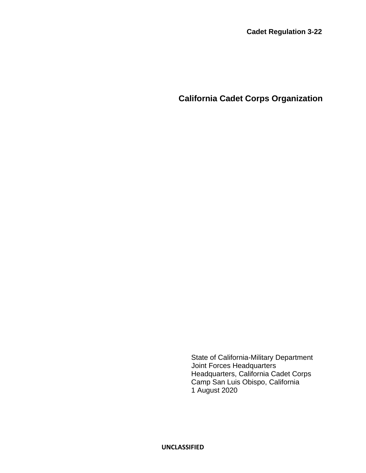**California Cadet Corps Organization**

State of California-Military Department Joint Forces Headquarters Headquarters, California Cadet Corps Camp San Luis Obispo, California 1 August 2020

**UNCLASSIFIED**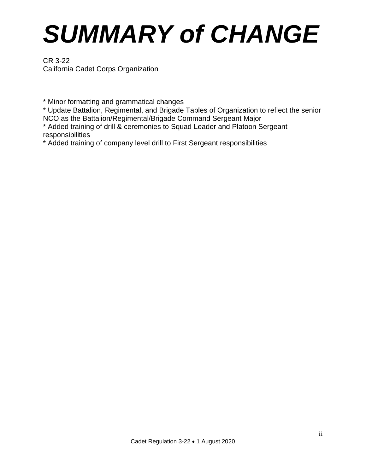# *SUMMARY of CHANGE*

CR 3-22 California Cadet Corps Organization

\* Minor formatting and grammatical changes

\* Update Battalion, Regimental, and Brigade Tables of Organization to reflect the senior NCO as the Battalion/Regimental/Brigade Command Sergeant Major

\* Added training of drill & ceremonies to Squad Leader and Platoon Sergeant responsibilities

\* Added training of company level drill to First Sergeant responsibilities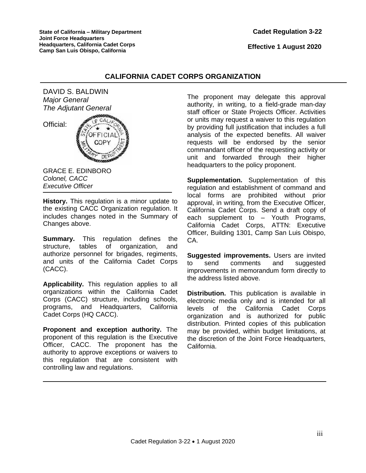### **Cadet Regulation 3-22**

 **Effective 1 August 2020**

### **CALIFORNIA CADET CORPS ORGANIZATION**

DAVID S. BALDWIN *Major General The Adjutant General*

Official:



GRACE E. EDINBORO *Colonel, CACC Executive Officer*

**History.** This regulation is a minor update to the existing CACC Organization regulation. It includes changes noted in the Summary of Changes above.

**Summary.** This regulation defines the structure, tables of organization, and authorize personnel for brigades, regiments, and units of the California Cadet Corps (CACC).

**Applicability.** This regulation applies to all organizations within the California Cadet Corps (CACC) structure, including schools, programs, and Headquarters, California Cadet Corps (HQ CACC).

**Proponent and exception authority.** The proponent of this regulation is the Executive Officer, CACC. The proponent has the authority to approve exceptions or waivers to this regulation that are consistent with controlling law and regulations.

The proponent may delegate this approval authority, in writing, to a field-grade man-day staff officer or State Projects Officer. Activities or units may request a waiver to this regulation by providing full justification that includes a full analysis of the expected benefits. All waiver requests will be endorsed by the senior commandant officer of the requesting activity or unit and forwarded through their higher headquarters to the policy proponent.

**Supplementation.** Supplementation of this regulation and establishment of command and local forms are prohibited without prior approval, in writing, from the Executive Officer, California Cadet Corps. Send a draft copy of each supplement to – Youth Programs, California Cadet Corps, ATTN: Executive Officer, Building 1301, Camp San Luis Obispo, CA.

**Suggested improvements.** Users are invited to send comments and suggested improvements in memorandum form directly to the address listed above.

**Distribution.** This publication is available in electronic media only and is intended for all levels of the California Cadet Corps organization and is authorized for public distribution. Printed copies of this publication may be provided, within budget limitations, at the discretion of the Joint Force Headquarters, California.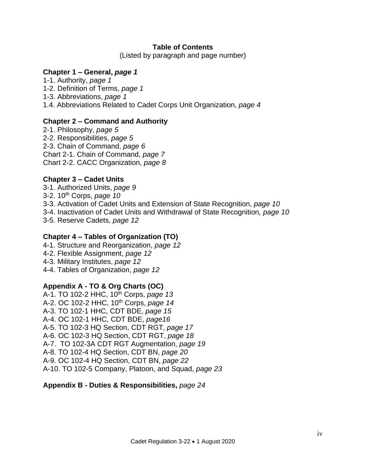### **Table of Contents**

(Listed by paragraph and page number)

### **Chapter 1 – General,** *page 1*

1-1. Authority, *page 1*

- 1-2. Definition of Terms, *page 1*
- 1-3. Abbreviations, *page 1*
- 1.4. Abbreviations Related to Cadet Corps Unit Organization, *page 4*

# **Chapter 2 – Command and Authority**

2-1. Philosophy, *page 5* 2-2. Responsibilities, *page 5* 2-3. Chain of Command, *page 6* Chart 2-1. Chain of Command, *page 7* Chart 2-2. CACC Organization, *page 8*

# **Chapter 3 – Cadet Units**

3-1. Authorized Units, *page 9*

- 3-2. 10th Corps, *page 10*
- 3-3. Activation of Cadet Units and Extension of State Recognition, *page 10*
- 3-4. Inactivation of Cadet Units and Withdrawal of State Recognition*, page 10*
- 3-5. Reserve Cadets, *page 12*

# **Chapter 4 – Tables of Organization (TO)**

- 4-1. Structure and Reorganization, *page 12*
- 4-2. Flexible Assignment, *page 12*
- 4-3. Military Institutes, *page 12*
- 4-4. Tables of Organization, *page 12*

### **Appendix A - TO & Org Charts (OC)**

A-1. TO 102-2 HHC, 10th Corps, *page 13* A-2. OC 102-2 HHC, 10th Corps, *page 14* A-3. TO 102-1 HHC, CDT BDE, *page 15* A-4. OC 102-1 HHC, CDT BDE, *page16* A-5. TO 102-3 HQ Section, CDT RGT, *page 17* A-6. OC 102-3 HQ Section, CDT RGT, *page 18* A-7. TO 102-3A CDT RGT Augmentation, *page 19* A-8. TO 102-4 HQ Section, CDT BN, *page 20* A-9. OC 102-4 HQ Section, CDT BN, *page 22* A-10. TO 102-5 Company, Platoon, and Squad, *page 23*

### **Appendix B - Duties & Responsibilities,** *page 24*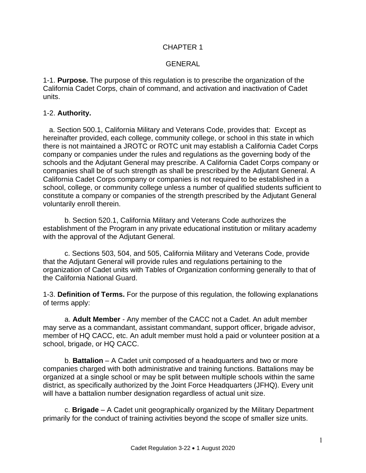# CHAPTER 1

### GENERAL

1-1. **Purpose.** The purpose of this regulation is to prescribe the organization of the California Cadet Corps, chain of command, and activation and inactivation of Cadet units.

### 1-2. **Authority.**

 a. Section 500.1, California Military and Veterans Code, provides that: Except as hereinafter provided, each college, community college, or school in this state in which there is not maintained a JROTC or ROTC unit may establish a California Cadet Corps company or companies under the rules and regulations as the governing body of the schools and the Adjutant General may prescribe. A California Cadet Corps company or companies shall be of such strength as shall be prescribed by the Adjutant General. A California Cadet Corps company or companies is not required to be established in a school, college, or community college unless a number of qualified students sufficient to constitute a company or companies of the strength prescribed by the Adjutant General voluntarily enroll therein.

b. Section 520.1, California Military and Veterans Code authorizes the establishment of the Program in any private educational institution or military academy with the approval of the Adjutant General.

c. Sections 503, 504, and 505, California Military and Veterans Code, provide that the Adjutant General will provide rules and regulations pertaining to the organization of Cadet units with Tables of Organization conforming generally to that of the California National Guard.

1-3. **Definition of Terms.** For the purpose of this regulation, the following explanations of terms apply:

a. **Adult Member** - Any member of the CACC not a Cadet. An adult member may serve as a commandant, assistant commandant, support officer, brigade advisor, member of HQ CACC, etc. An adult member must hold a paid or volunteer position at a school, brigade, or HQ CACC.

b. **Battalion** – A Cadet unit composed of a headquarters and two or more companies charged with both administrative and training functions. Battalions may be organized at a single school or may be split between multiple schools within the same district, as specifically authorized by the Joint Force Headquarters (JFHQ). Every unit will have a battalion number designation regardless of actual unit size.

c. **Brigade** – A Cadet unit geographically organized by the Military Department primarily for the conduct of training activities beyond the scope of smaller size units.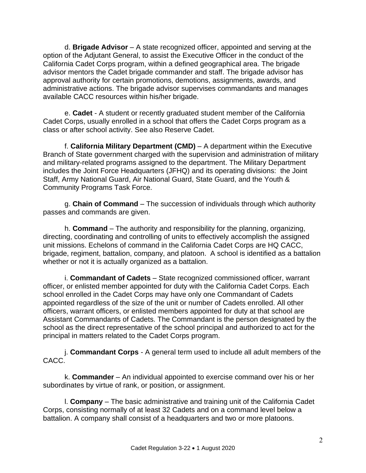d. **Brigade Advisor** – A state recognized officer, appointed and serving at the option of the Adjutant General, to assist the Executive Officer in the conduct of the California Cadet Corps program, within a defined geographical area. The brigade advisor mentors the Cadet brigade commander and staff. The brigade advisor has approval authority for certain promotions, demotions, assignments, awards, and administrative actions. The brigade advisor supervises commandants and manages available CACC resources within his/her brigade.

e. **Cadet** - A student or recently graduated student member of the California Cadet Corps, usually enrolled in a school that offers the Cadet Corps program as a class or after school activity. See also Reserve Cadet.

f. **California Military Department (CMD)** – A department within the Executive Branch of State government charged with the supervision and administration of military and military-related programs assigned to the department. The Military Department includes the Joint Force Headquarters (JFHQ) and its operating divisions: the Joint Staff, Army National Guard, Air National Guard, State Guard, and the Youth & Community Programs Task Force.

g. **Chain of Command** – The succession of individuals through which authority passes and commands are given.

h. **Command** – The authority and responsibility for the planning, organizing, directing, coordinating and controlling of units to effectively accomplish the assigned unit missions. Echelons of command in the California Cadet Corps are HQ CACC, brigade, regiment, battalion, company, and platoon. A school is identified as a battalion whether or not it is actually organized as a battalion.

i. **Commandant of Cadets** – State recognized commissioned officer, warrant officer, or enlisted member appointed for duty with the California Cadet Corps. Each school enrolled in the Cadet Corps may have only one Commandant of Cadets appointed regardless of the size of the unit or number of Cadets enrolled. All other officers, warrant officers, or enlisted members appointed for duty at that school are Assistant Commandants of Cadets. The Commandant is the person designated by the school as the direct representative of the school principal and authorized to act for the principal in matters related to the Cadet Corps program.

j. **Commandant Corps** - A general term used to include all adult members of the CACC.

k. **Commander** – An individual appointed to exercise command over his or her subordinates by virtue of rank, or position, or assignment.

l. **Company** – The basic administrative and training unit of the California Cadet Corps, consisting normally of at least 32 Cadets and on a command level below a battalion. A company shall consist of a headquarters and two or more platoons.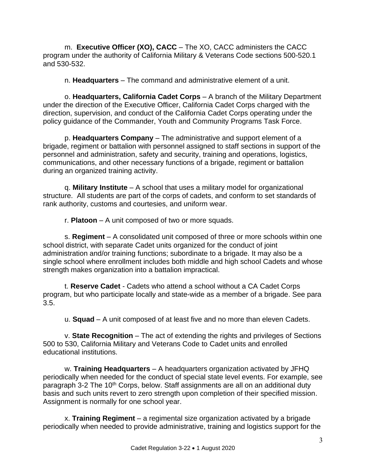m. **Executive Officer (XO), CACC** – The XO, CACC administers the CACC program under the authority of California Military & Veterans Code sections 500-520.1 and 530-532.

n. **Headquarters** – The command and administrative element of a unit.

o. **Headquarters, California Cadet Corps** – A branch of the Military Department under the direction of the Executive Officer, California Cadet Corps charged with the direction, supervision, and conduct of the California Cadet Corps operating under the policy guidance of the Commander, Youth and Community Programs Task Force.

p. **Headquarters Company** – The administrative and support element of a brigade, regiment or battalion with personnel assigned to staff sections in support of the personnel and administration, safety and security, training and operations, logistics, communications, and other necessary functions of a brigade, regiment or battalion during an organized training activity.

q. **Military Institute** – A school that uses a military model for organizational structure. All students are part of the corps of cadets, and conform to set standards of rank authority, customs and courtesies, and uniform wear.

r. **Platoon** – A unit composed of two or more squads.

s. **Regiment** – A consolidated unit composed of three or more schools within one school district, with separate Cadet units organized for the conduct of joint administration and/or training functions; subordinate to a brigade. It may also be a single school where enrollment includes both middle and high school Cadets and whose strength makes organization into a battalion impractical.

t. **Reserve Cadet** - Cadets who attend a school without a CA Cadet Corps program, but who participate locally and state-wide as a member of a brigade. See para 3.5.

u. **Squad** – A unit composed of at least five and no more than eleven Cadets.

v. **State Recognition** – The act of extending the rights and privileges of Sections 500 to 530, California Military and Veterans Code to Cadet units and enrolled educational institutions.

w. **Training Headquarters** – A headquarters organization activated by JFHQ periodically when needed for the conduct of special state level events. For example, see paragraph 3-2 The 10th Corps, below. Staff assignments are all on an additional duty basis and such units revert to zero strength upon completion of their specified mission. Assignment is normally for one school year.

x. **Training Regiment** – a regimental size organization activated by a brigade periodically when needed to provide administrative, training and logistics support for the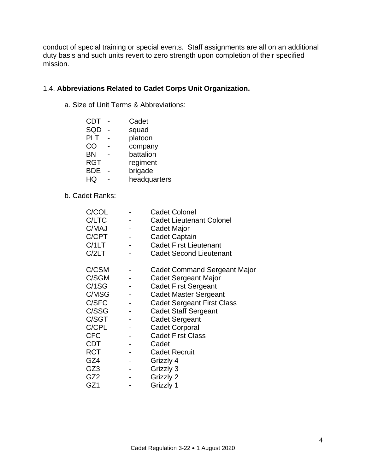conduct of special training or special events. Staff assignments are all on an additional duty basis and such units revert to zero strength upon completion of their specified mission.

# 1.4. **Abbreviations Related to Cadet Corps Unit Organization.**

a. Size of Unit Terms & Abbreviations:

| <b>CDT</b> | Cadet        |
|------------|--------------|
| SQD        | squad        |
| <b>PLT</b> | platoon      |
| CO         | company      |
| <b>BN</b>  | battalion    |
| <b>RGT</b> | regiment     |
| <b>BDE</b> | brigade      |
| HQ         | headquarters |
|            |              |

b. Cadet Ranks:

| C/COL           | <b>Cadet Colonel</b>                |
|-----------------|-------------------------------------|
| C/LTC           | <b>Cadet Lieutenant Colonel</b>     |
| C/MAJ           | Cadet Major                         |
| C/CPT           | <b>Cadet Captain</b>                |
| C/1LT           | <b>Cadet First Lieutenant</b>       |
| C/2LT           | <b>Cadet Second Lieutenant</b>      |
| C/CSM           | <b>Cadet Command Sergeant Major</b> |
| C/SGM           | Cadet Sergeant Major                |
| C/1SG           | <b>Cadet First Sergeant</b>         |
| C/MSG           | <b>Cadet Master Sergeant</b>        |
| C/SFC           | Cadet Sergeant First Class          |
| C/SSG           | <b>Cadet Staff Sergeant</b>         |
| C/SGT           | <b>Cadet Sergeant</b>               |
| C/CPL           | <b>Cadet Corporal</b>               |
| <b>CFC</b>      | <b>Cadet First Class</b>            |
| <b>CDT</b>      | Cadet                               |
| <b>RCT</b>      | <b>Cadet Recruit</b>                |
| GZ4             | Grizzly 4                           |
| GZ <sub>3</sub> | Grizzly 3                           |
| GZ <sub>2</sub> | Grizzly 2                           |
| GZ1             | Grizzly 1                           |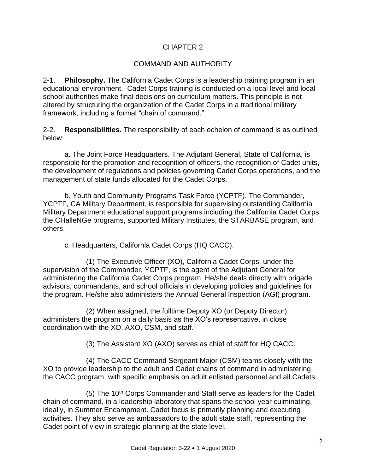# CHAPTER 2

# COMMAND AND AUTHORITY

2-1. **Philosophy.** The California Cadet Corps is a leadership training program in an educational environment. Cadet Corps training is conducted on a local level and local school authorities make final decisions on curriculum matters. This principle is not altered by structuring the organization of the Cadet Corps in a traditional military framework, including a formal "chain of command."

2-2. **Responsibilities.** The responsibility of each echelon of command is as outlined below:

a. The Joint Force Headquarters. The Adjutant General, State of California, is responsible for the promotion and recognition of officers, the recognition of Cadet units, the development of regulations and policies governing Cadet Corps operations, and the management of state funds allocated for the Cadet Corps.

b. Youth and Community Programs Task Force (YCPTF). The Commander, YCPTF, CA Military Department, is responsible for supervising outstanding California Military Department educational support programs including the California Cadet Corps, the CHalleNGe programs, supported Military Institutes, the STARBASE program, and others.

c. Headquarters, California Cadet Corps (HQ CACC).

(1) The Executive Officer (XO), California Cadet Corps, under the supervision of the Commander, YCPTF, is the agent of the Adjutant General for administering the California Cadet Corps program. He/she deals directly with brigade advisors, commandants, and school officials in developing policies and guidelines for the program. He/she also administers the Annual General Inspection (AGI) program.

(2) When assigned, the fulltime Deputy XO (or Deputy Director) administers the program on a daily basis as the XO's representative, in close coordination with the XO, AXO, CSM, and staff.

(3) The Assistant XO (AXO) serves as chief of staff for HQ CACC.

(4) The CACC Command Sergeant Major (CSM) teams closely with the XO to provide leadership to the adult and Cadet chains of command in administering the CACC program, with specific emphasis on adult enlisted personnel and all Cadets.

 $(5)$  The 10<sup>th</sup> Corps Commander and Staff serve as leaders for the Cadet chain of command, in a leadership laboratory that spans the school year culminating, ideally, in Summer Encampment. Cadet focus is primarily planning and executing activities. They also serve as ambassadors to the adult state staff, representing the Cadet point of view in strategic planning at the state level.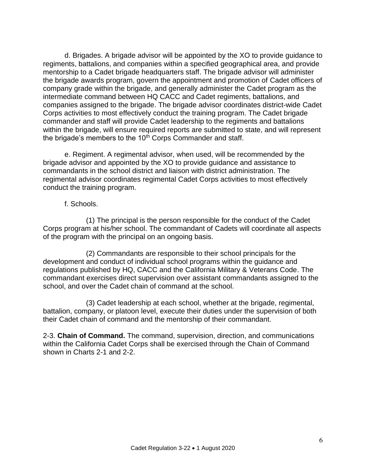d. Brigades. A brigade advisor will be appointed by the XO to provide guidance to regiments, battalions, and companies within a specified geographical area, and provide mentorship to a Cadet brigade headquarters staff. The brigade advisor will administer the brigade awards program, govern the appointment and promotion of Cadet officers of company grade within the brigade, and generally administer the Cadet program as the intermediate command between HQ CACC and Cadet regiments, battalions, and companies assigned to the brigade. The brigade advisor coordinates district-wide Cadet Corps activities to most effectively conduct the training program. The Cadet brigade commander and staff will provide Cadet leadership to the regiments and battalions within the brigade, will ensure required reports are submitted to state, and will represent the brigade's members to the  $10<sup>th</sup>$  Corps Commander and staff.

e. Regiment. A regimental advisor, when used, will be recommended by the brigade advisor and appointed by the XO to provide guidance and assistance to commandants in the school district and liaison with district administration. The regimental advisor coordinates regimental Cadet Corps activities to most effectively conduct the training program.

### f. Schools.

(1) The principal is the person responsible for the conduct of the Cadet Corps program at his/her school. The commandant of Cadets will coordinate all aspects of the program with the principal on an ongoing basis.

(2) Commandants are responsible to their school principals for the development and conduct of individual school programs within the guidance and regulations published by HQ, CACC and the California Military & Veterans Code. The commandant exercises direct supervision over assistant commandants assigned to the school, and over the Cadet chain of command at the school.

(3) Cadet leadership at each school, whether at the brigade, regimental, battalion, company, or platoon level, execute their duties under the supervision of both their Cadet chain of command and the mentorship of their commandant.

2-3. **Chain of Command.** The command, supervision, direction, and communications within the California Cadet Corps shall be exercised through the Chain of Command shown in Charts 2-1 and 2-2.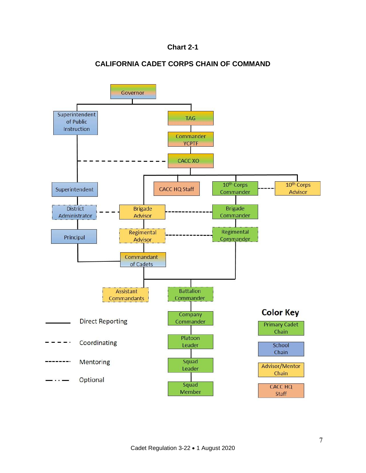# **Chart 2-1**

# **CALIFORNIA CADET CORPS CHAIN OF COMMAND**

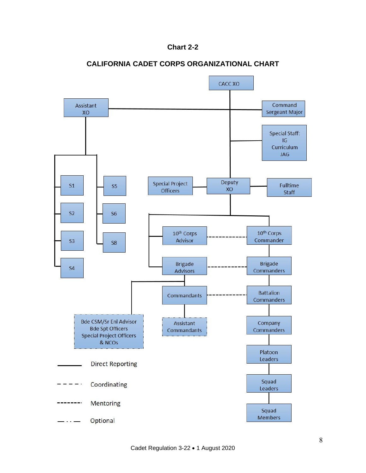



### **CALIFORNIA CADET CORPS ORGANIZATIONAL CHART**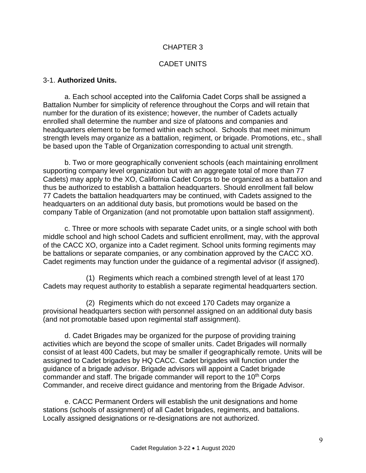# CHAPTER 3

### CADET UNITS

### 3-1. **Authorized Units.**

a. Each school accepted into the California Cadet Corps shall be assigned a Battalion Number for simplicity of reference throughout the Corps and will retain that number for the duration of its existence; however, the number of Cadets actually enrolled shall determine the number and size of platoons and companies and headquarters element to be formed within each school. Schools that meet minimum strength levels may organize as a battalion, regiment, or brigade. Promotions, etc., shall be based upon the Table of Organization corresponding to actual unit strength.

b. Two or more geographically convenient schools (each maintaining enrollment supporting company level organization but with an aggregate total of more than 77 Cadets) may apply to the XO, California Cadet Corps to be organized as a battalion and thus be authorized to establish a battalion headquarters. Should enrollment fall below 77 Cadets the battalion headquarters may be continued, with Cadets assigned to the headquarters on an additional duty basis, but promotions would be based on the company Table of Organization (and not promotable upon battalion staff assignment).

c. Three or more schools with separate Cadet units, or a single school with both middle school and high school Cadets and sufficient enrollment, may, with the approval of the CACC XO, organize into a Cadet regiment. School units forming regiments may be battalions or separate companies, or any combination approved by the CACC XO. Cadet regiments may function under the guidance of a regimental advisor (if assigned).

(1) Regiments which reach a combined strength level of at least 170 Cadets may request authority to establish a separate regimental headquarters section.

(2) Regiments which do not exceed 170 Cadets may organize a provisional headquarters section with personnel assigned on an additional duty basis (and not promotable based upon regimental staff assignment).

d. Cadet Brigades may be organized for the purpose of providing training activities which are beyond the scope of smaller units. Cadet Brigades will normally consist of at least 400 Cadets, but may be smaller if geographically remote. Units will be assigned to Cadet brigades by HQ CACC. Cadet brigades will function under the guidance of a brigade advisor. Brigade advisors will appoint a Cadet brigade commander and staff. The brigade commander will report to the 10<sup>th</sup> Corps Commander, and receive direct guidance and mentoring from the Brigade Advisor.

e. CACC Permanent Orders will establish the unit designations and home stations (schools of assignment) of all Cadet brigades, regiments, and battalions. Locally assigned designations or re-designations are not authorized.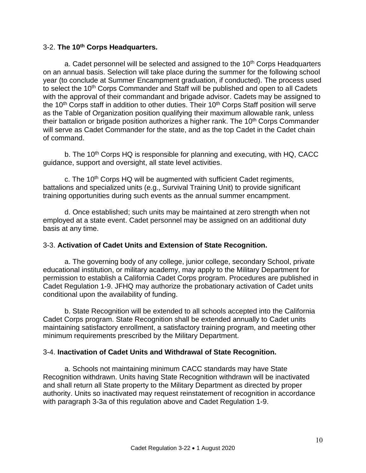### 3-2. **The 10th Corps Headquarters.**

a. Cadet personnel will be selected and assigned to the  $10<sup>th</sup>$  Corps Headquarters on an annual basis. Selection will take place during the summer for the following school year (to conclude at Summer Encampment graduation, if conducted). The process used to select the 10<sup>th</sup> Corps Commander and Staff will be published and open to all Cadets with the approval of their commandant and brigade advisor. Cadets may be assigned to the  $10<sup>th</sup>$  Corps staff in addition to other duties. Their  $10<sup>th</sup>$  Corps Staff position will serve as the Table of Organization position qualifying their maximum allowable rank, unless their battalion or brigade position authorizes a higher rank. The  $10<sup>th</sup>$  Corps Commander will serve as Cadet Commander for the state, and as the top Cadet in the Cadet chain of command.

b. The 10<sup>th</sup> Corps HQ is responsible for planning and executing, with HQ, CACC guidance, support and oversight, all state level activities.

c. The 10<sup>th</sup> Corps HQ will be augmented with sufficient Cadet regiments, battalions and specialized units (e.g., Survival Training Unit) to provide significant training opportunities during such events as the annual summer encampment.

d. Once established; such units may be maintained at zero strength when not employed at a state event. Cadet personnel may be assigned on an additional duty basis at any time.

# 3-3. **Activation of Cadet Units and Extension of State Recognition.**

a. The governing body of any college, junior college, secondary School, private educational institution, or military academy, may apply to the Military Department for permission to establish a California Cadet Corps program. Procedures are published in Cadet Regulation 1-9. JFHQ may authorize the probationary activation of Cadet units conditional upon the availability of funding.

b. State Recognition will be extended to all schools accepted into the California Cadet Corps program. State Recognition shall be extended annually to Cadet units maintaining satisfactory enrollment, a satisfactory training program, and meeting other minimum requirements prescribed by the Military Department.

# 3-4. **Inactivation of Cadet Units and Withdrawal of State Recognition.**

a. Schools not maintaining minimum CACC standards may have State Recognition withdrawn. Units having State Recognition withdrawn will be inactivated and shall return all State property to the Military Department as directed by proper authority. Units so inactivated may request reinstatement of recognition in accordance with paragraph 3-3a of this regulation above and Cadet Regulation 1-9.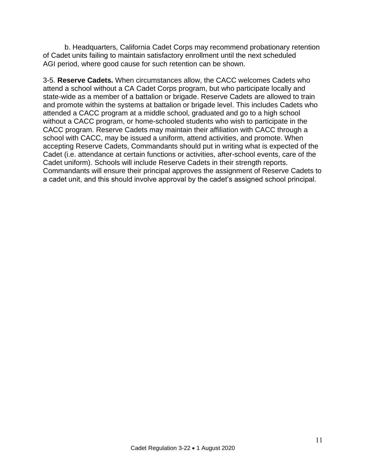b. Headquarters, California Cadet Corps may recommend probationary retention of Cadet units failing to maintain satisfactory enrollment until the next scheduled AGI period, where good cause for such retention can be shown.

3-5. **Reserve Cadets.** When circumstances allow, the CACC welcomes Cadets who attend a school without a CA Cadet Corps program, but who participate locally and state-wide as a member of a battalion or brigade. Reserve Cadets are allowed to train and promote within the systems at battalion or brigade level. This includes Cadets who attended a CACC program at a middle school, graduated and go to a high school without a CACC program, or home-schooled students who wish to participate in the CACC program. Reserve Cadets may maintain their affiliation with CACC through a school with CACC, may be issued a uniform, attend activities, and promote. When accepting Reserve Cadets, Commandants should put in writing what is expected of the Cadet (i.e. attendance at certain functions or activities, after-school events, care of the Cadet uniform). Schools will include Reserve Cadets in their strength reports. Commandants will ensure their principal approves the assignment of Reserve Cadets to a cadet unit, and this should involve approval by the cadet's assigned school principal.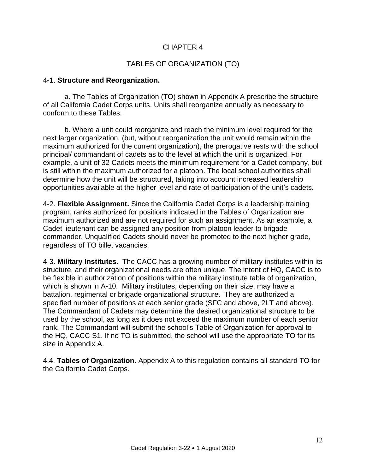# CHAPTER 4

# TABLES OF ORGANIZATION (TO)

### 4-1. **Structure and Reorganization.**

a. The Tables of Organization (TO) shown in Appendix A prescribe the structure of all California Cadet Corps units. Units shall reorganize annually as necessary to conform to these Tables.

b. Where a unit could reorganize and reach the minimum level required for the next larger organization, (but, without reorganization the unit would remain within the maximum authorized for the current organization), the prerogative rests with the school principal/ commandant of cadets as to the level at which the unit is organized. For example, a unit of 32 Cadets meets the minimum requirement for a Cadet company, but is still within the maximum authorized for a platoon. The local school authorities shall determine how the unit will be structured, taking into account increased leadership opportunities available at the higher level and rate of participation of the unit's cadets.

4-2. **Flexible Assignment.** Since the California Cadet Corps is a leadership training program, ranks authorized for positions indicated in the Tables of Organization are maximum authorized and are not required for such an assignment. As an example, a Cadet lieutenant can be assigned any position from platoon leader to brigade commander. Unqualified Cadets should never be promoted to the next higher grade, regardless of TO billet vacancies.

4-3. **Military Institutes**. The CACC has a growing number of military institutes within its structure, and their organizational needs are often unique. The intent of HQ, CACC is to be flexible in authorization of positions within the military institute table of organization, which is shown in A-10. Military institutes, depending on their size, may have a battalion, regimental or brigade organizational structure. They are authorized a specified number of positions at each senior grade (SFC and above, 2LT and above). The Commandant of Cadets may determine the desired organizational structure to be used by the school, as long as it does not exceed the maximum number of each senior rank. The Commandant will submit the school's Table of Organization for approval to the HQ, CACC S1. If no TO is submitted, the school will use the appropriate TO for its size in Appendix A.

4.4. **Tables of Organization.** Appendix A to this regulation contains all standard TO for the California Cadet Corps.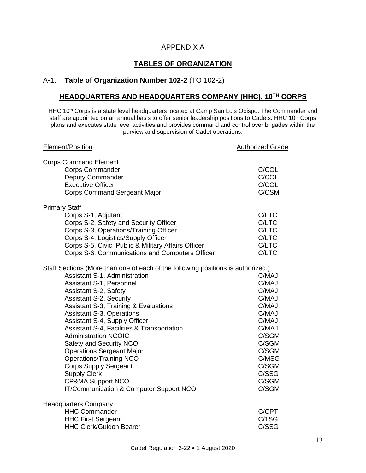### APPENDIX A

# **TABLES OF ORGANIZATION**

# A-1. **Table of Organization Number 102-2** (TO 102-2)

# **HEADQUARTERS AND HEADQUARTERS COMPANY (HHC), 10TH CORPS**

HHC 10<sup>th</sup> Corps is a state level headquarters located at Camp San Luis Obispo. The Commander and staff are appointed on an annual basis to offer senior leadership positions to Cadets. HHC 10<sup>th</sup> Corps plans and executes state level activities and provides command and control over brigades within the purview and supervision of Cadet operations.

| Element/Position                                                                                                                                                                                                                                                                                                                                                                                                                                                                                                                                                                                                                                     | <b>Authorized Grade</b>                                                                                                                      |
|------------------------------------------------------------------------------------------------------------------------------------------------------------------------------------------------------------------------------------------------------------------------------------------------------------------------------------------------------------------------------------------------------------------------------------------------------------------------------------------------------------------------------------------------------------------------------------------------------------------------------------------------------|----------------------------------------------------------------------------------------------------------------------------------------------|
| <b>Corps Command Element</b><br><b>Corps Commander</b><br><b>Deputy Commander</b><br><b>Executive Officer</b><br><b>Corps Command Sergeant Major</b>                                                                                                                                                                                                                                                                                                                                                                                                                                                                                                 | C/COL<br>C/COL<br>C/COL<br>C/CSM                                                                                                             |
| <b>Primary Staff</b>                                                                                                                                                                                                                                                                                                                                                                                                                                                                                                                                                                                                                                 |                                                                                                                                              |
| Corps S-1, Adjutant<br>Corps S-2, Safety and Security Officer<br>Corps S-3, Operations/Training Officer<br>Corps S-4, Logistics/Supply Officer<br>Corps S-5, Civic, Public & Military Affairs Officer<br>Corps S-6, Communications and Computers Officer                                                                                                                                                                                                                                                                                                                                                                                             | C/LTC<br>C/LTC<br>C/LTC<br>C/LTC<br>C/LTC<br>C/LTC                                                                                           |
| Staff Sections (More than one of each of the following positions is authorized.)<br><b>Assistant S-1, Administration</b><br>Assistant S-1, Personnel<br><b>Assistant S-2, Safety</b><br><b>Assistant S-2, Security</b><br>Assistant S-3, Training & Evaluations<br><b>Assistant S-3, Operations</b><br>Assistant S-4, Supply Officer<br>Assistant S-4, Facilities & Transportation<br><b>Administration NCOIC</b><br>Safety and Security NCO<br><b>Operations Sergeant Major</b><br><b>Operations/Training NCO</b><br><b>Corps Supply Sergeant</b><br><b>Supply Clerk</b><br><b>CP&amp;MA Support NCO</b><br>IT/Communication & Computer Support NCO | C/MAJ<br>C/MAJ<br>C/MAJ<br>C/MAJ<br>C/MAJ<br>C/MAJ<br>C/MAJ<br>C/MAJ<br>C/SGM<br>C/SGM<br>C/SGM<br>C/MSG<br>C/SGM<br>C/SSG<br>C/SGM<br>C/SGM |
| <b>Headquarters Company</b><br><b>HHC Commander</b><br><b>HHC First Sergeant</b><br><b>HHC Clerk/Guidon Bearer</b>                                                                                                                                                                                                                                                                                                                                                                                                                                                                                                                                   | C/CPT<br>C/1SG<br>C/SSG                                                                                                                      |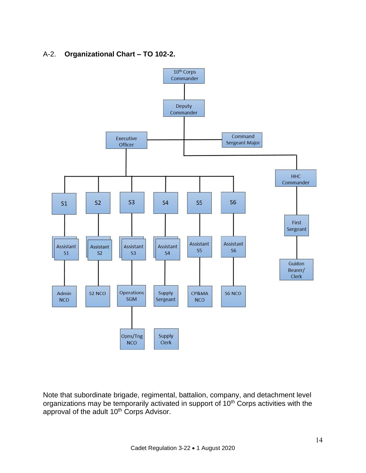# A-2. **Organizational Chart – TO 102-2.**



Note that subordinate brigade, regimental, battalion, company, and detachment level organizations may be temporarily activated in support of 10<sup>th</sup> Corps activities with the approval of the adult 10<sup>th</sup> Corps Advisor.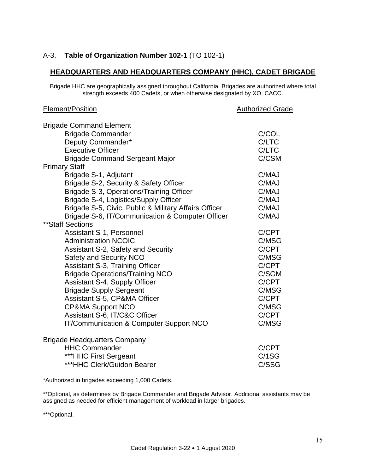# A-3. **Table of Organization Number 102-1** (TO 102-1)

### **HEADQUARTERS AND HEADQUARTERS COMPANY (HHC), CADET BRIGADE**

Brigade HHC are geographically assigned throughout California. Brigades are authorized where total strength exceeds 400 Cadets, or when otherwise designated by XO, CACC.

### Element/Position **Authorized Grade**

| <b>Brigade Command Element</b>                        |       |
|-------------------------------------------------------|-------|
| <b>Brigade Commander</b>                              | C/COL |
| Deputy Commander*                                     | C/LTC |
| <b>Executive Officer</b>                              | C/LTC |
| <b>Brigade Command Sergeant Major</b>                 | C/CSM |
| <b>Primary Staff</b>                                  |       |
| Brigade S-1, Adjutant                                 | C/MAJ |
| Brigade S-2, Security & Safety Officer                | C/MAJ |
| Brigade S-3, Operations/Training Officer              | C/MAJ |
| Brigade S-4, Logistics/Supply Officer                 | C/MAJ |
| Brigade S-5, Civic, Public & Military Affairs Officer | C/MAJ |
| Brigade S-6, IT/Communication & Computer Officer      | C/MAJ |
| ** Staff Sections                                     |       |
| <b>Assistant S-1, Personnel</b>                       | C/CPT |
| <b>Administration NCOIC</b>                           | C/MSG |
| Assistant S-2, Safety and Security                    | C/CPT |
| <b>Safety and Security NCO</b>                        | C/MSG |
| <b>Assistant S-3, Training Officer</b>                | C/CPT |
| <b>Brigade Operations/Training NCO</b>                | C/SGM |
| <b>Assistant S-4, Supply Officer</b>                  | C/CPT |
| <b>Brigade Supply Sergeant</b>                        | C/MSG |
| <b>Assistant S-5, CP&amp;MA Officer</b>               | C/CPT |
| <b>CP&amp;MA Support NCO</b>                          | C/MSG |
| Assistant S-6, IT/C&C Officer                         | C/CPT |
| IT/Communication & Computer Support NCO               | C/MSG |
| <b>Brigade Headquarters Company</b>                   |       |
| <b>HHC Commander</b>                                  | C/CPT |
| ***HHC First Sergeant                                 | C/1SG |
| ***HHC Clerk/Guidon Bearer                            | C/SSG |

\*Authorized in brigades exceeding 1,000 Cadets.

\*\*Optional, as determines by Brigade Commander and Brigade Advisor. Additional assistants may be assigned as needed for efficient management of workload in larger brigades.

\*\*\*Optional.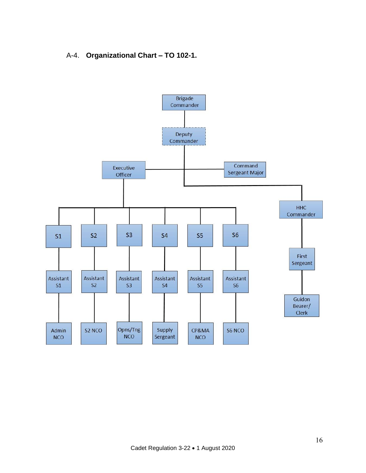# A-4. **Organizational Chart – TO 102-1.**

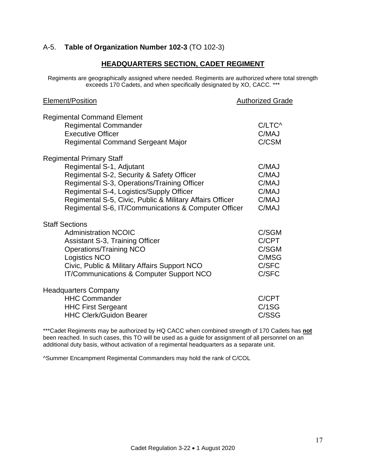# A-5. **Table of Organization Number 102-3** (TO 102-3)

### **HEADQUARTERS SECTION, CADET REGIMENT**

Regiments are geographically assigned where needed. Regiments are authorized where total strength exceeds 170 Cadets, and when specifically designated by XO, CACC. \*\*\*

| Element/Position                                         | <b>Authorized Grade</b> |
|----------------------------------------------------------|-------------------------|
| <b>Regimental Command Element</b>                        |                         |
| <b>Regimental Commander</b>                              | C/LTC^                  |
| <b>Executive Officer</b>                                 | C/MAJ                   |
| <b>Regimental Command Sergeant Major</b>                 | C/CSM                   |
| <b>Regimental Primary Staff</b>                          |                         |
| Regimental S-1, Adjutant                                 | C/MAJ                   |
| Regimental S-2, Security & Safety Officer                | C/MAJ                   |
| Regimental S-3, Operations/Training Officer              | C/MAJ                   |
| Regimental S-4, Logistics/Supply Officer                 | C/MAJ                   |
| Regimental S-5, Civic, Public & Military Affairs Officer | C/MAJ                   |
| Regimental S-6, IT/Communications & Computer Officer     | C/MAJ                   |
| <b>Staff Sections</b>                                    |                         |
| <b>Administration NCOIC</b>                              | C/SGM                   |
| <b>Assistant S-3, Training Officer</b>                   | C/CPT                   |
| <b>Operations/Training NCO</b>                           | C/SGM                   |
| <b>Logistics NCO</b>                                     | C/MSG                   |
| Civic, Public & Military Affairs Support NCO             | C/SFC                   |
| IT/Communications & Computer Support NCO                 | C/SFC                   |
| <b>Headquarters Company</b>                              |                         |
| <b>HHC Commander</b>                                     | C/CPT                   |
| <b>HHC First Sergeant</b>                                | C/1SG                   |
| <b>HHC Clerk/Guidon Bearer</b>                           | C/SSG                   |
|                                                          |                         |

\*\*\*Cadet Regiments may be authorized by HQ CACC when combined strength of 170 Cadets has **not** been reached. In such cases, this TO will be used as a guide for assignment of all personnel on an additional duty basis, without activation of a regimental headquarters as a separate unit.

^Summer Encampment Regimental Commanders may hold the rank of C/COL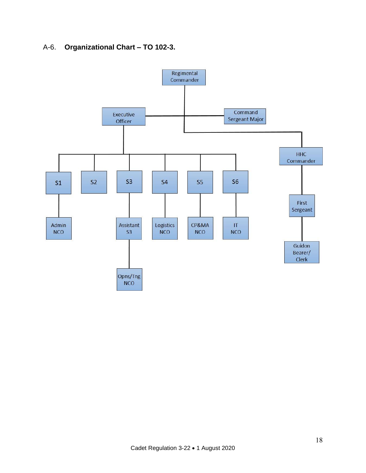# A-6. **Organizational Chart – TO 102-3.**

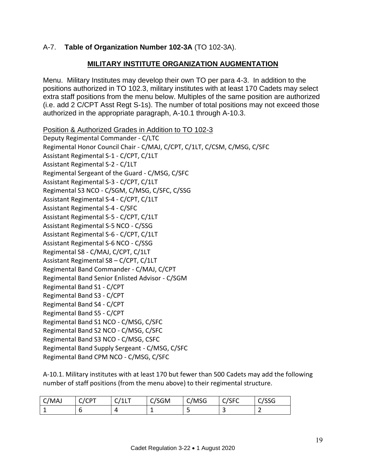# A-7. **Table of Organization Number 102-3A** (TO 102-3A).

# **MILITARY INSTITUTE ORGANIZATION AUGMENTATION**

Menu. Military Institutes may develop their own TO per para 4-3. In addition to the positions authorized in TO 102.3, military institutes with at least 170 Cadets may select extra staff positions from the menu below. Multiples of the same position are authorized (i.e. add 2 C/CPT Asst Regt S-1s). The number of total positions may not exceed those authorized in the appropriate paragraph, A-10.1 through A-10.3.

Position & Authorized Grades in Addition to TO 102-3 Deputy Regimental Commander - C/LTC Regimental Honor Council Chair - C/MAJ, C/CPT, C/1LT, C/CSM, C/MSG, C/SFC Assistant Regimental S-1 - C/CPT, C/1LT Assistant Regimental S-2 - C/1LT Regimental Sergeant of the Guard - C/MSG, C/SFC Assistant Regimental S-3 - C/CPT, C/1LT Regimental S3 NCO - C/SGM, C/MSG, C/SFC, C/SSG Assistant Regimental S-4 - C/CPT, C/1LT Assistant Regimental S-4 - C/SFC Assistant Regimental S-5 - C/CPT, C/1LT Assistant Regimental S-5 NCO - C/SSG Assistant Regimental S-6 - C/CPT, C/1LT Assistant Regimental S-6 NCO - C/SSG Regimental S8 - C/MAJ, C/CPT, C/1LT Assistant Regimental S8 – C/CPT, C/1LT Regimental Band Commander - C/MAJ, C/CPT Regimental Band Senior Enlisted Advisor - C/SGM Regimental Band S1 - C/CPT Regimental Band S3 - C/CPT Regimental Band S4 - C/CPT Regimental Band S5 - C/CPT Regimental Band S1 NCO - C/MSG, C/SFC Regimental Band S2 NCO - C/MSG, C/SFC Regimental Band S3 NCO - C/MSG, CSFC Regimental Band Supply Sergeant - C/MSG, C/SFC Regimental Band CPM NCO - C/MSG, C/SFC

A-10.1. Military institutes with at least 170 but fewer than 500 Cadets may add the following number of staff positions (from the menu above) to their regimental structure.

| C/MAJ | $\sim$ $\sim$ $\sim$<br>D<br>ັ<br>ີ | ---<br><u>.</u> | /SGM<br>ີ | C/MSG<br>ັ | $C$ $C$ $C$<br>ب رب<br>ີ | $\sim$ $\sim$ $\sim$<br>აას<br>ີ |
|-------|-------------------------------------|-----------------|-----------|------------|--------------------------|----------------------------------|
|       |                                     |                 |           |            | $\overline{\phantom{a}}$ | -                                |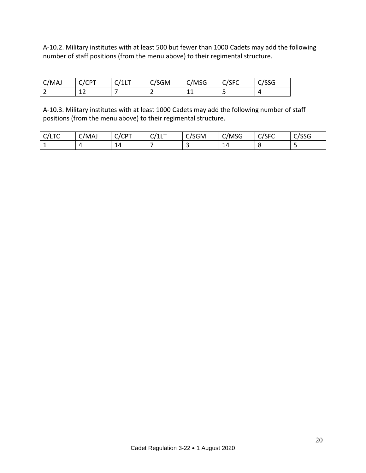A-10.2. Military institutes with at least 500 but fewer than 1000 Cadets may add the following number of staff positions (from the menu above) to their regimental structure.

| C/MAJ | C/CPT<br>ີ<br>ີ | $\Gamma$ $\Gamma$ $/11$ $\tau$<br>.<br>ັ | C/SGM | C/MSG | C/SFC | $\sim$ $\sim$ $\sim$<br>აას |
|-------|-----------------|------------------------------------------|-------|-------|-------|-----------------------------|
| -     | ∸∸              |                                          | -     | -- -  |       |                             |

A-10.3. Military institutes with at least 1000 Cadets may add the following number of staff positions (from the menu above) to their regimental structure.

| , <i>,</i> , ,<br>ᄓ<br>ີ | C/MAJ<br>______ | $\sqrt{2}$<br>◡<br>ີບເ<br>ີ | -<br>$14.1$ $-$<br>ີ<br>--- | /SGM<br>-<br>ີ | C/MSG                | $\sim$ $\sim$ $\sim$<br>ີ<br>ט ו ט | $\sim$ lee $\sim$<br>טככי<br>ີ |
|--------------------------|-----------------|-----------------------------|-----------------------------|----------------|----------------------|------------------------------------|--------------------------------|
| -                        | 4               | 14                          |                             |                | $\overline{ }$<br>14 |                                    |                                |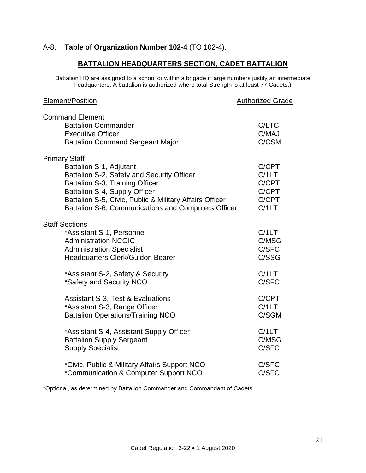# A-8. **Table of Organization Number 102-4** (TO 102-4).

# **BATTALION HEADQUARTERS SECTION, CADET BATTALION**

Battalion HQ are assigned to a school or within a brigade if large numbers justify an intermediate headquarters. A battalion is authorized where total Strength is at least 77 Cadets.)

| <b>Element/Position</b>                                                                                                                                                                                                                                                             | <b>Authorized Grade</b>                            |
|-------------------------------------------------------------------------------------------------------------------------------------------------------------------------------------------------------------------------------------------------------------------------------------|----------------------------------------------------|
| <b>Command Element</b><br><b>Battalion Commander</b><br><b>Executive Officer</b><br><b>Battalion Command Sergeant Major</b>                                                                                                                                                         | C/LTC<br>C/MAJ<br>C/CSM                            |
| <b>Primary Staff</b><br>Battalion S-1, Adjutant<br>Battalion S-2, Safety and Security Officer<br>Battalion S-3, Training Officer<br>Battalion S-4, Supply Officer<br>Battalion S-5, Civic, Public & Military Affairs Officer<br>Battalion S-6, Communications and Computers Officer | C/CPT<br>C/1LT<br>C/CPT<br>C/CPT<br>C/CPT<br>C/1LT |
| <b>Staff Sections</b><br>*Assistant S-1, Personnel<br><b>Administration NCOIC</b><br><b>Administration Specialist</b><br><b>Headquarters Clerk/Guidon Bearer</b>                                                                                                                    | C/1LT<br>C/MSG<br>C/SFC<br>C/SSG                   |
| *Assistant S-2, Safety & Security                                                                                                                                                                                                                                                   | C/1LT                                              |
| *Safety and Security NCO                                                                                                                                                                                                                                                            | C/SFC                                              |
| Assistant S-3, Test & Evaluations                                                                                                                                                                                                                                                   | C/CPT                                              |
| *Assistant S-3, Range Officer                                                                                                                                                                                                                                                       | C/1LT                                              |
| <b>Battalion Operations/Training NCO</b>                                                                                                                                                                                                                                            | C/SGM                                              |
| *Assistant S-4, Assistant Supply Officer                                                                                                                                                                                                                                            | C/1LT                                              |
| <b>Battalion Supply Sergeant</b>                                                                                                                                                                                                                                                    | C/MSG                                              |
| <b>Supply Specialist</b>                                                                                                                                                                                                                                                            | C/SFC                                              |
| *Civic, Public & Military Affairs Support NCO                                                                                                                                                                                                                                       | C/SFC                                              |
| *Communication & Computer Support NCO                                                                                                                                                                                                                                               | C/SFC                                              |

\*Optional, as determined by Battalion Commander and Commandant of Cadets.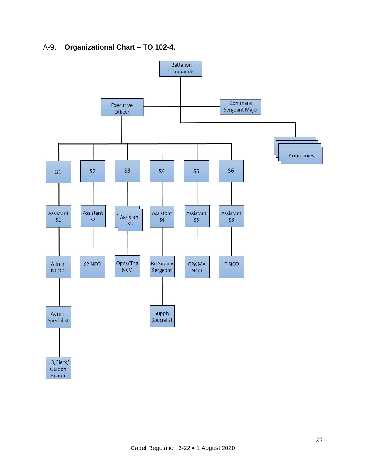# A-9. **Organizational Chart – TO 102-4.**

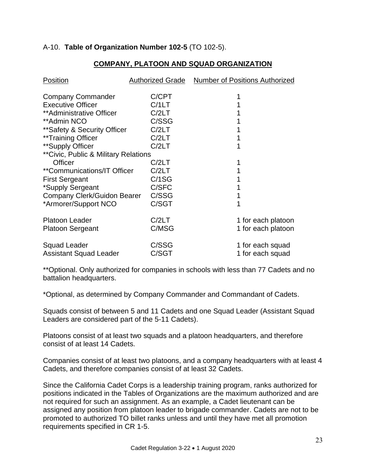# A-10. **Table of Organization Number 102-5** (TO 102-5).

| <b>Position</b>                       | <b>Authorized Grade</b> | <b>Number of Positions Authorized</b> |
|---------------------------------------|-------------------------|---------------------------------------|
| <b>Company Commander</b>              | C/CPT                   |                                       |
| <b>Executive Officer</b>              | C/1LT                   |                                       |
| **Administrative Officer              | C/2LT                   |                                       |
| **Admin NCO                           | C/SSG                   |                                       |
| ** Safety & Security Officer          | C/2LT                   |                                       |
| **Training Officer                    | C/2LT                   |                                       |
| **Supply Officer                      | C/2LT                   | 1                                     |
| ** Civic, Public & Military Relations |                         |                                       |
| Officer                               | C/2LT                   |                                       |
| <i>**</i> Communications/IT Officer   | C/2LT                   |                                       |
| <b>First Sergeant</b>                 | C/1SG                   |                                       |
| *Supply Sergeant                      | C/SFC                   |                                       |
| Company Clerk/Guidon Bearer           | C/SSG                   |                                       |
| *Armorer/Support NCO                  | C/SGT                   |                                       |
| <b>Platoon Leader</b>                 | C/2LT                   | 1 for each platoon                    |
| <b>Platoon Sergeant</b>               | C/MSG                   | 1 for each platoon                    |
| <b>Squad Leader</b>                   | C/SSG                   | 1 for each squad                      |
| <b>Assistant Squad Leader</b>         | C/SGT                   | 1 for each squad                      |

# **COMPANY, PLATOON AND SQUAD ORGANIZATION**

\*\*Optional. Only authorized for companies in schools with less than 77 Cadets and no battalion headquarters.

\*Optional, as determined by Company Commander and Commandant of Cadets.

Squads consist of between 5 and 11 Cadets and one Squad Leader (Assistant Squad Leaders are considered part of the 5-11 Cadets).

Platoons consist of at least two squads and a platoon headquarters, and therefore consist of at least 14 Cadets.

Companies consist of at least two platoons, and a company headquarters with at least 4 Cadets, and therefore companies consist of at least 32 Cadets.

Since the California Cadet Corps is a leadership training program, ranks authorized for positions indicated in the Tables of Organizations are the maximum authorized and are not required for such an assignment. As an example, a Cadet lieutenant can be assigned any position from platoon leader to brigade commander. Cadets are not to be promoted to authorized TO billet ranks unless and until they have met all promotion requirements specified in CR 1-5.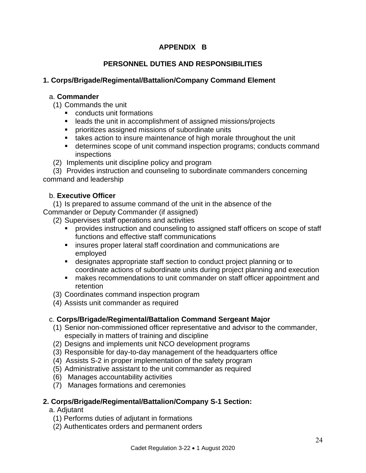# **APPENDIX B**

# **PERSONNEL DUTIES AND RESPONSIBILITIES**

# **1. Corps/Brigade/Regimental/Battalion/Company Command Element**

### a. **Commander**

- (1) Commands the unit
	- conducts unit formations
	- leads the unit in accomplishment of assigned missions/projects
	- **•** prioritizes assigned missions of subordinate units
	- takes action to insure maintenance of high morale throughout the unit
	- determines scope of unit command inspection programs; conducts command inspections
- (2) Implements unit discipline policy and program

 (3) Provides instruction and counseling to subordinate commanders concerning command and leadership

### b. **Executive Officer**

 (1) Is prepared to assume command of the unit in the absence of the Commander or Deputy Commander (if assigned)

- (2) Supervises staff operations and activities
	- **•** provides instruction and counseling to assigned staff officers on scope of staff functions and effective staff communications
	- insures proper lateral staff coordination and communications are employed
	- designates appropriate staff section to conduct project planning or to coordinate actions of subordinate units during project planning and execution
	- makes recommendations to unit commander on staff officer appointment and retention
- (3) Coordinates command inspection program
- (4) Assists unit commander as required

### c. **Corps/Brigade/Regimental/Battalion Command Sergeant Major**

- (1) Senior non-commissioned officer representative and advisor to the commander, especially in matters of training and discipline
- (2) Designs and implements unit NCO development programs
- (3) Responsible for day-to-day management of the headquarters office
- (4) Assists S-2 in proper implementation of the safety program
- (5) Administrative assistant to the unit commander as required
- (6) Manages accountability activities
- (7) Manages formations and ceremonies

# **2. Corps/Brigade/Regimental/Battalion/Company S-1 Section:**

a. Adjutant

- (1) Performs duties of adjutant in formations
- (2) Authenticates orders and permanent orders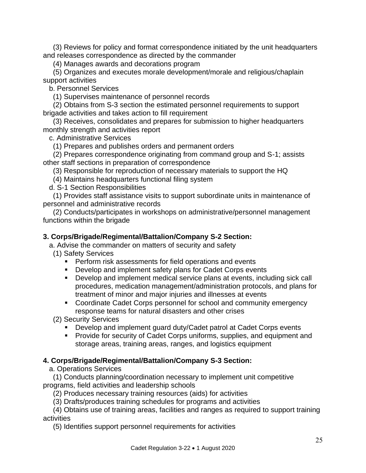(3) Reviews for policy and format correspondence initiated by the unit headquarters and releases correspondence as directed by the commander

(4) Manages awards and decorations program

 (5) Organizes and executes morale development/morale and religious/chaplain support activities

b. Personnel Services

(1) Supervises maintenance of personnel records

 (2) Obtains from S-3 section the estimated personnel requirements to support brigade activities and takes action to fill requirement

 (3) Receives, consolidates and prepares for submission to higher headquarters monthly strength and activities report

c. Administrative Services

(1) Prepares and publishes orders and permanent orders

 (2) Prepares correspondence originating from command group and S-1; assists other staff sections in preparation of correspondence

(3) Responsible for reproduction of necessary materials to support the HQ

(4) Maintains headquarters functional filing system

d. S-1 Section Responsibilities

 (1) Provides staff assistance visits to support subordinate units in maintenance of personnel and administrative records

 (2) Conducts/participates in workshops on administrative/personnel management functions within the brigade

### **3. Corps/Brigade/Regimental/Battalion/Company S-2 Section:**

a. Advise the commander on matters of security and safety

(1) Safety Services

- Perform risk assessments for field operations and events
- Develop and implement safety plans for Cadet Corps events
- Develop and implement medical service plans at events, including sick call procedures, medication management/administration protocols, and plans for treatment of minor and major injuries and illnesses at events
- Coordinate Cadet Corps personnel for school and community emergency response teams for natural disasters and other crises

(2) Security Services

- Develop and implement guard duty/Cadet patrol at Cadet Corps events
- **Provide for security of Cadet Corps uniforms, supplies, and equipment and** storage areas, training areas, ranges, and logistics equipment

### **4. Corps/Brigade/Regimental/Battalion/Company S-3 Section:**

a. Operations Services

 (1) Conducts planning/coordination necessary to implement unit competitive programs, field activities and leadership schools

(2) Produces necessary training resources (aids) for activities

(3) Drafts/produces training schedules for programs and activities

 (4) Obtains use of training areas, facilities and ranges as required to support training activities

(5) Identifies support personnel requirements for activities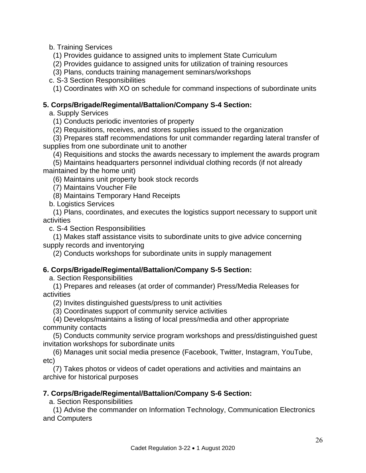b. Training Services

(1) Provides guidance to assigned units to implement State Curriculum

(2) Provides guidance to assigned units for utilization of training resources

(3) Plans, conducts training management seminars/workshops

c. S-3 Section Responsibilities

(1) Coordinates with XO on schedule for command inspections of subordinate units

# **5. Corps/Brigade/Regimental/Battalion/Company S-4 Section:**

a. Supply Services

(1) Conducts periodic inventories of property

(2) Requisitions, receives, and stores supplies issued to the organization

 (3) Prepares staff recommendations for unit commander regarding lateral transfer of supplies from one subordinate unit to another

(4) Requisitions and stocks the awards necessary to implement the awards program

 (5) Maintains headquarters personnel individual clothing records (if not already maintained by the home unit)

(6) Maintains unit property book stock records

(7) Maintains Voucher File

(8) Maintains Temporary Hand Receipts

b. Logistics Services

 (1) Plans, coordinates, and executes the logistics support necessary to support unit activities

c. S-4 Section Responsibilities

 (1) Makes staff assistance visits to subordinate units to give advice concerning supply records and inventorying

(2) Conducts workshops for subordinate units in supply management

# **6. Corps/Brigade/Regimental/Battalion/Company S-5 Section:**

a. Section Responsibilities

 (1) Prepares and releases (at order of commander) Press/Media Releases for activities

(2) Invites distinguished guests/press to unit activities

(3) Coordinates support of community service activities

 (4) Develops/maintains a listing of local press/media and other appropriate community contacts

 (5) Conducts community service program workshops and press/distinguished guest invitation workshops for subordinate units

 (6) Manages unit social media presence (Facebook, Twitter, Instagram, YouTube, etc)

 (7) Takes photos or videos of cadet operations and activities and maintains an archive for historical purposes

# **7. Corps/Brigade/Regimental/Battalion/Company S-6 Section:**

a. Section Responsibilities

 (1) Advise the commander on Information Technology, Communication Electronics and Computers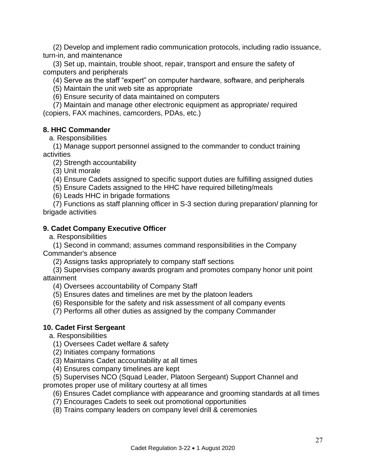(2) Develop and implement radio communication protocols, including radio issuance, turn-in, and maintenance

 (3) Set up, maintain, trouble shoot, repair, transport and ensure the safety of computers and peripherals

(4) Serve as the staff "expert" on computer hardware, software, and peripherals

(5) Maintain the unit web site as appropriate

(6) Ensure security of data maintained on computers

 (7) Maintain and manage other electronic equipment as appropriate/ required (copiers, FAX machines, camcorders, PDAs, etc.)

# **8. HHC Commander**

a. Responsibilities

 (1) Manage support personnel assigned to the commander to conduct training activities

(2) Strength accountability

(3) Unit morale

(4) Ensure Cadets assigned to specific support duties are fulfilling assigned duties

(5) Ensure Cadets assigned to the HHC have required billeting/meals

(6) Leads HHC in brigade formations

 (7) Functions as staff planning officer in S-3 section during preparation/ planning for brigade activities

# **9. Cadet Company Executive Officer**

a. Responsibilities

 (1) Second in command; assumes command responsibilities in the Company Commander's absence

(2) Assigns tasks appropriately to company staff sections

 (3) Supervises company awards program and promotes company honor unit point attainment

(4) Oversees accountability of Company Staff

(5) Ensures dates and timelines are met by the platoon leaders

(6) Responsible for the safety and risk assessment of all company events

(7) Performs all other duties as assigned by the company Commander

### **10. Cadet First Sergeant**

a. Responsibilities

- (1) Oversees Cadet welfare & safety
- (2) Initiates company formations
- (3) Maintains Cadet accountability at all times
- (4) Ensures company timelines are kept
- (5) Supervises NCO (Squad Leader, Platoon Sergeant) Support Channel and

promotes proper use of military courtesy at all times

- (6) Ensures Cadet compliance with appearance and grooming standards at all times
- (7) Encourages Cadets to seek out promotional opportunities
- (8) Trains company leaders on company level drill & ceremonies